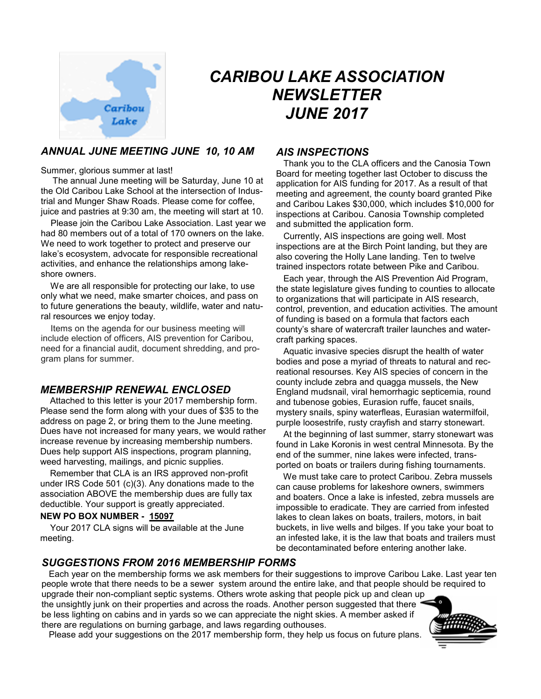

# *CARIBOU LAKE ASSOCIATION NEWSLETTER JUNE 2017*

## *ANNUAL JUNE MEETING JUNE 10, 10 AM*

Summer, glorious summer at last!

 The annual June meeting will be Saturday, June 10 at the Old Caribou Lake School at the intersection of Industrial and Munger Shaw Roads. Please come for coffee, juice and pastries at 9:30 am, the meeting will start at 10.

 Please join the Caribou Lake Association. Last year we had 80 members out of a total of 170 owners on the lake. We need to work together to protect and preserve our lake's ecosystem, advocate for responsible recreational activities, and enhance the relationships among lakeshore owners.

 We are all responsible for protecting our lake, to use only what we need, make smarter choices, and pass on to future generations the beauty, wildlife, water and natural resources we enjoy today.

 Items on the agenda for our business meeting will include election of officers, AIS prevention for Caribou, need for a financial audit, document shredding, and program plans for summer.

#### *MEMBERSHIP RENEWAL ENCLOSED*

 Attached to this letter is your 2017 membership form. Please send the form along with your dues of \$35 to the address on page 2, or bring them to the June meeting. Dues have not increased for many years, we would rather increase revenue by increasing membership numbers. Dues help support AIS inspections, program planning, weed harvesting, mailings, and picnic supplies.

 Remember that CLA is an IRS approved non-profit under IRS Code 501 (c)(3). Any donations made to the association ABOVE the membership dues are fully tax deductible. Your support is greatly appreciated.

#### **NEW PO BOX NUMBER - 15097**

 Your 2017 CLA signs will be available at the June meeting.

#### *AIS INSPECTIONS*

 Thank you to the CLA officers and the Canosia Town Board for meeting together last October to discuss the application for AIS funding for 2017. As a result of that meeting and agreement, the county board granted Pike and Caribou Lakes \$30,000, which includes \$10,000 for inspections at Caribou. Canosia Township completed and submitted the application form.

 Currently, AIS inspections are going well. Most inspections are at the Birch Point landing, but they are also covering the Holly Lane landing. Ten to twelve trained inspectors rotate between Pike and Caribou.

 Each year, through the AIS Prevention Aid Program, the state legislature gives funding to counties to allocate to organizations that will participate in AIS research, control, prevention, and education activities. The amount of funding is based on a formula that factors each county's share of watercraft trailer launches and watercraft parking spaces.

 Aquatic invasive species disrupt the health of water bodies and pose a myriad of threats to natural and recreational resourses. Key AIS species of concern in the county include zebra and quagga mussels, the New England mudsnail, viral hemorrhagic septicemia, round and tubenose gobies, Eurasion ruffe, faucet snails, mystery snails, spiny waterfleas, Eurasian watermilfoil, purple loosestrife, rusty crayfish and starry stonewart.

 At the beginning of last summer, starry stonewart was found in Lake Koronis in west central Minnesota. By the end of the summer, nine lakes were infected, transported on boats or trailers during fishing tournaments.

 We must take care to protect Caribou. Zebra mussels can cause problems for lakeshore owners, swimmers and boaters. Once a lake is infested, zebra mussels are impossible to eradicate. They are carried from infested lakes to clean lakes on boats, trailers, motors, in bait buckets, in live wells and bilges. If you take your boat to an infested lake, it is the law that boats and trailers must be decontaminated before entering another lake.

#### *SUGGESTIONS FROM 2016 MEMBERSHIP FORMS*

 Each year on the membership forms we ask members for their suggestions to improve Caribou Lake. Last year ten people wrote that there needs to be a sewer system around the entire lake, and that people should be required to upgrade their non-compliant septic systems. Others wrote asking that people pick up and clean up

the unsightly junk on their properties and across the roads. Another person suggested that there be less lighting on cabins and in yards so we can appreciate the night skies. A member asked if there are regulations on burning garbage, and laws regarding outhouses.



Please add your suggestions on the 2017 membership form, they help us focus on future plans.